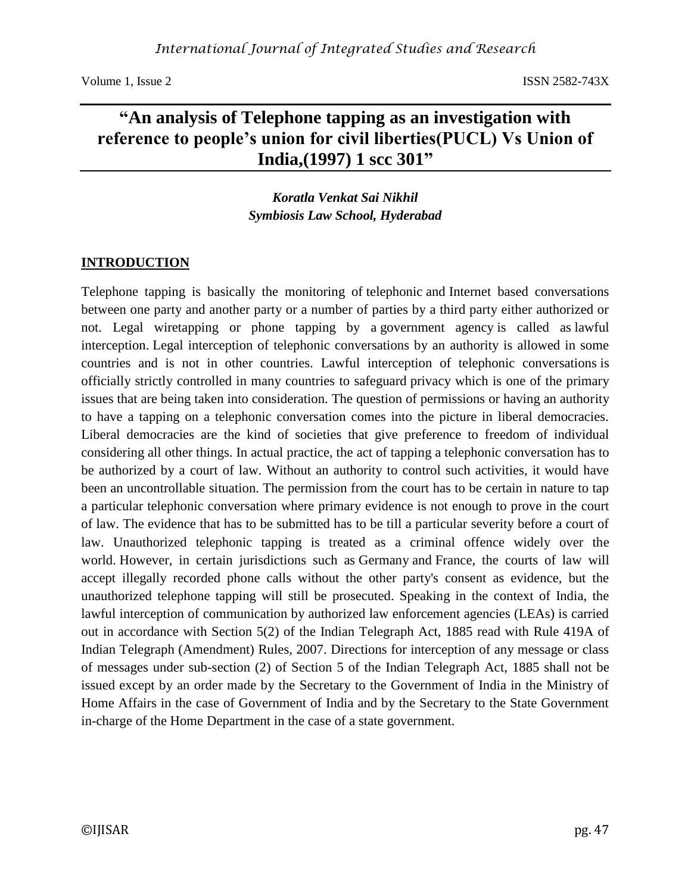# **"An analysis of Telephone tapping as an investigation with reference to people's union for civil liberties(PUCL) Vs Union of India,(1997) 1 scc 301"**

*Koratla Venkat Sai Nikhil Symbiosis Law School, Hyderabad*

## **INTRODUCTION**

Telephone tapping is basically the monitoring of telephonic and Internet based conversations between one party and another party or a number of parties by a third party either authorized or not. Legal wiretapping or phone tapping by a [government agency](https://en.wikipedia.org/wiki/Government_agency) is called as [lawful](https://en.wikipedia.org/wiki/Lawful_interception)  [interception.](https://en.wikipedia.org/wiki/Lawful_interception) Legal interception of telephonic conversations by an authority is allowed in some countries and is not in other countries. [Lawful interception](https://en.wikipedia.org/wiki/Lawful_interception) of telephonic conversations is officially strictly controlled in many countries to safeguard [privacy](https://en.wikipedia.org/wiki/Privacy) which is one of the primary issues that are being taken into consideration. The question of permissions or having an authority to have a tapping on a telephonic conversation comes into the picture in liberal democracies. Liberal democracies are the kind of societies that give preference to freedom of individual considering all other things. In actual practice, the act of tapping a telephonic conversation has to be authorized by a court of law. Without an authority to control such activities, it would have been an uncontrollable situation. The permission from the court has to be certain in nature to tap a particular telephonic conversation where primary evidence is not enough to prove in the court of law. The evidence that has to be submitted has to be till a particular severity before a court of law. Unauthorized telephonic tapping is treated as a criminal offence widely over the world. However, in certain jurisdictions such as [Germany](https://en.wikipedia.org/wiki/Germany) and [France,](https://en.wikipedia.org/wiki/France) the courts of law will accept illegally recorded phone calls without the other party's consent as evidence, but the unauthorized telephone tapping will still be prosecuted. Speaking in the context of India, the lawful interception of communication by authorized law enforcement agencies (LEAs) is carried out in accordance with Section 5(2) of the Indian Telegraph Act, 1885 read with Rule 419A of Indian Telegraph (Amendment) Rules, 2007. Directions for interception of any message or class of messages under sub-section (2) of Section 5 of the Indian Telegraph Act, 1885 shall not be issued except by an order made by the Secretary to the Government of India in the Ministry of Home Affairs in the case of Government of India and by the Secretary to the State Government in-charge of the Home Department in the case of a state government.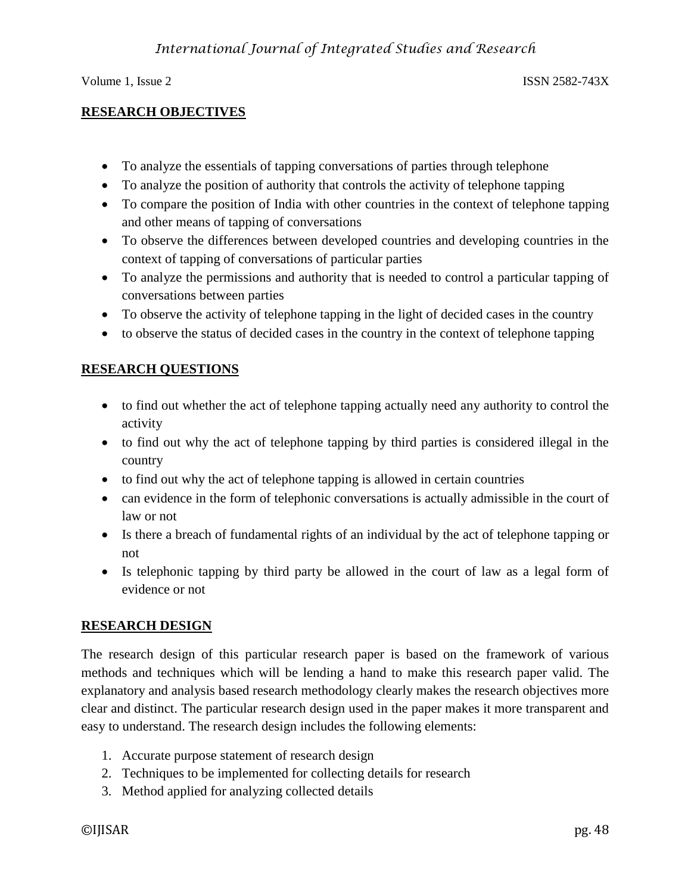## **RESEARCH OBJECTIVES**

- To analyze the essentials of tapping conversations of parties through telephone
- To analyze the position of authority that controls the activity of telephone tapping
- To compare the position of India with other countries in the context of telephone tapping and other means of tapping of conversations
- To observe the differences between developed countries and developing countries in the context of tapping of conversations of particular parties
- To analyze the permissions and authority that is needed to control a particular tapping of conversations between parties
- To observe the activity of telephone tapping in the light of decided cases in the country
- to observe the status of decided cases in the country in the context of telephone tapping

## **RESEARCH QUESTIONS**

- to find out whether the act of telephone tapping actually need any authority to control the activity
- to find out why the act of telephone tapping by third parties is considered illegal in the country
- to find out why the act of telephone tapping is allowed in certain countries
- can evidence in the form of telephonic conversations is actually admissible in the court of law or not
- Is there a breach of fundamental rights of an individual by the act of telephone tapping or not
- Is telephonic tapping by third party be allowed in the court of law as a legal form of evidence or not

## **RESEARCH DESIGN**

The research design of this particular research paper is based on the framework of various methods and techniques which will be lending a hand to make this research paper valid. The explanatory and analysis based research methodology clearly makes the research objectives more clear and distinct. The particular research design used in the paper makes it more transparent and easy to understand. The research design includes the following elements:

- 1. Accurate purpose statement of research design
- 2. Techniques to be implemented for collecting details for research
- 3. Method applied for analyzing collected details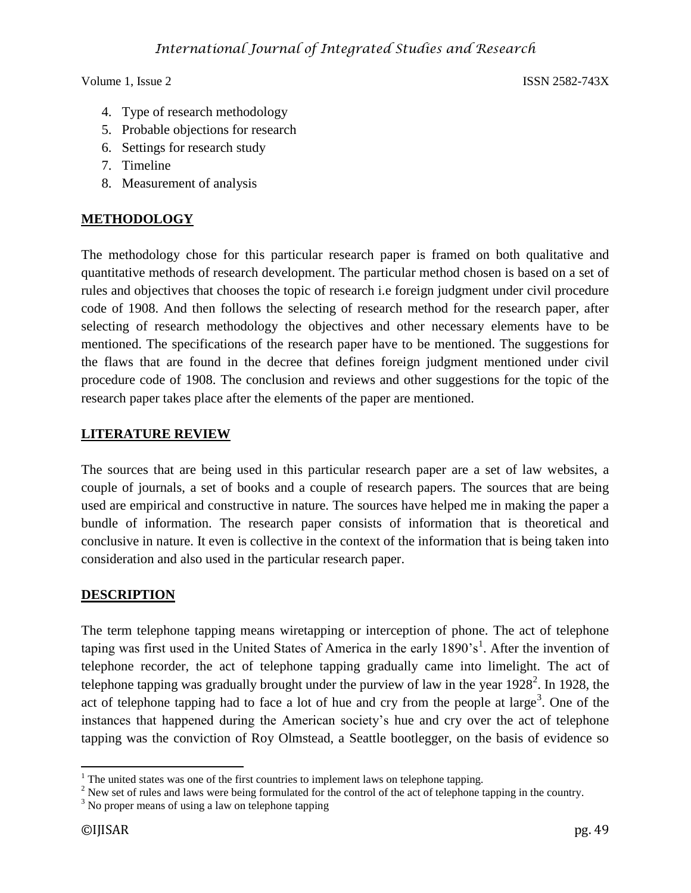- 4. Type of research methodology
- 5. Probable objections for research
- 6. Settings for research study
- 7. Timeline
- 8. Measurement of analysis

## **METHODOLOGY**

The methodology chose for this particular research paper is framed on both qualitative and quantitative methods of research development. The particular method chosen is based on a set of rules and objectives that chooses the topic of research i.e foreign judgment under civil procedure code of 1908. And then follows the selecting of research method for the research paper, after selecting of research methodology the objectives and other necessary elements have to be mentioned. The specifications of the research paper have to be mentioned. The suggestions for the flaws that are found in the decree that defines foreign judgment mentioned under civil procedure code of 1908. The conclusion and reviews and other suggestions for the topic of the research paper takes place after the elements of the paper are mentioned.

### **LITERATURE REVIEW**

The sources that are being used in this particular research paper are a set of law websites, a couple of journals, a set of books and a couple of research papers. The sources that are being used are empirical and constructive in nature. The sources have helped me in making the paper a bundle of information. The research paper consists of information that is theoretical and conclusive in nature. It even is collective in the context of the information that is being taken into consideration and also used in the particular research paper.

## **DESCRIPTION**

The term telephone tapping means wiretapping or interception of phone. The act of telephone taping was first used in the United States of America in the early 1890's<sup>1</sup>. After the invention of telephone recorder, the act of telephone tapping gradually came into limelight. The act of telephone tapping was gradually brought under the purview of law in the year 1928<sup>2</sup>. In 1928, the act of telephone tapping had to face a lot of hue and cry from the people at large<sup>3</sup>. One of the instances that happened during the American society's hue and cry over the act of telephone tapping was the conviction of Roy Olmstead, a Seattle bootlegger, on the basis of evidence so

 $\overline{\phantom{a}}$  $1$  The united states was one of the first countries to implement laws on telephone tapping.

<sup>&</sup>lt;sup>2</sup> New set of rules and laws were being formulated for the control of the act of telephone tapping in the country.

 $3$  No proper means of using a law on telephone tapping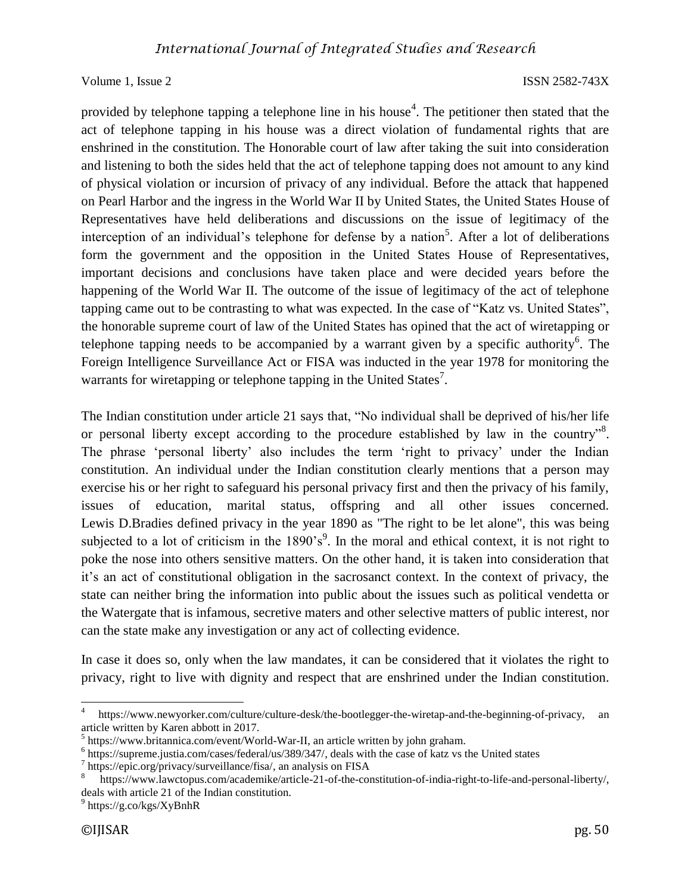provided by telephone tapping a telephone line in his house<sup>4</sup>. The petitioner then stated that the act of telephone tapping in his house was a direct violation of fundamental rights that are enshrined in the constitution. The Honorable court of law after taking the suit into consideration and listening to both the sides held that the act of telephone tapping does not amount to any kind of physical violation or incursion of privacy of any individual. Before the attack that happened on Pearl Harbor and the ingress in the World War II by United States, the United States House of Representatives have held deliberations and discussions on the issue of legitimacy of the interception of an individual's telephone for defense by a nation<sup>5</sup>. After a lot of deliberations form the government and the opposition in the United States House of Representatives, important decisions and conclusions have taken place and were decided years before the happening of the World War II. The outcome of the issue of legitimacy of the act of telephone tapping came out to be contrasting to what was expected. In the case of "Katz vs. United States", the honorable supreme court of law of the United States has opined that the act of wiretapping or telephone tapping needs to be accompanied by a warrant given by a specific authority<sup>6</sup>. The Foreign Intelligence Surveillance Act or FISA was inducted in the year 1978 for monitoring the warrants for wiretapping or telephone tapping in the United States<sup>7</sup>.

The Indian constitution under article 21 says that, "No individual shall be deprived of his/her life or personal liberty except according to the procedure established by law in the country"<sup>8</sup>. The phrase 'personal liberty' also includes the term 'right to privacy' under the Indian constitution. An individual under the Indian constitution clearly mentions that a person may exercise his or her right to safeguard his personal privacy first and then the privacy of his family, issues of education, marital status, offspring and all other issues concerned. Lewis D.Bradies defined privacy in the year 1890 as "The right to be let alone", this was being subjected to a lot of criticism in the  $1890's<sup>9</sup>$ . In the moral and ethical context, it is not right to poke the nose into others sensitive matters. On the other hand, it is taken into consideration that it's an act of constitutional obligation in the sacrosanct context. In the context of privacy, the state can neither bring the information into public about the issues such as political vendetta or the Watergate that is infamous, secretive maters and other selective matters of public interest, nor can the state make any investigation or any act of collecting evidence.

In case it does so, only when the law mandates, it can be considered that it violates the right to privacy, right to live with dignity and respect that are enshrined under the Indian constitution.

 $\overline{a}$ 

<sup>4</sup> https://www.newyorker.com/culture/culture-desk/the-bootlegger-the-wiretap-and-the-beginning-of-privacy, an article written by Karen abbott in 2017.

<sup>&</sup>lt;sup>5</sup> https://www.britannica.com/event/World-War-II, an article written by john graham.

<sup>&</sup>lt;sup>6</sup> https://supreme.justia.com/cases/federal/us/389/347/, deals with the case of katz vs the United states

<sup>7</sup> https://epic.org/privacy/surveillance/fisa/, an analysis on FISA

<sup>8</sup> https://www.lawctopus.com/academike/article-21-of-the-constitution-of-india-right-to-life-and-personal-liberty/, deals with article 21 of the Indian constitution.

<sup>&</sup>lt;sup>9</sup> https://g.co/kgs/XyBnhR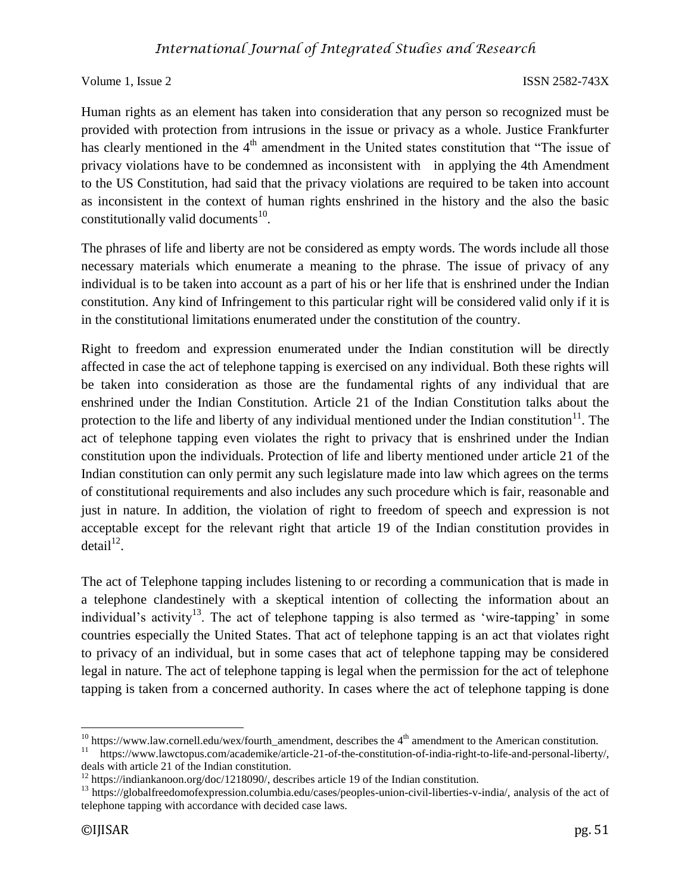Human rights as an element has taken into consideration that any person so recognized must be provided with protection from intrusions in the issue or privacy as a whole. Justice Frankfurter has clearly mentioned in the  $4<sup>th</sup>$  amendment in the United states constitution that "The issue of privacy violations have to be condemned as inconsistent with in applying the 4th Amendment to the US Constitution, had said that the privacy violations are required to be taken into account as inconsistent in the context of human rights enshrined in the history and the also the basic constitutionally valid documents $^{10}$ .

The phrases of life and liberty are not be considered as empty words. The words include all those necessary materials which enumerate a meaning to the phrase. The issue of privacy of any individual is to be taken into account as a part of his or her life that is enshrined under the Indian constitution. Any kind of Infringement to this particular right will be considered valid only if it is in the constitutional limitations enumerated under the constitution of the country.

Right to freedom and expression enumerated under the Indian constitution will be directly affected in case the act of telephone tapping is exercised on any individual. Both these rights will be taken into consideration as those are the fundamental rights of any individual that are enshrined under the Indian Constitution. Article 21 of the Indian Constitution talks about the protection to the life and liberty of any individual mentioned under the Indian constitution $11$ . The act of telephone tapping even violates the right to privacy that is enshrined under the Indian constitution upon the individuals. Protection of life and liberty mentioned under article 21 of the Indian constitution can only permit any such legislature made into law which agrees on the terms of constitutional requirements and also includes any such procedure which is fair, reasonable and just in nature. In addition, the violation of right to freedom of speech and expression is not acceptable except for the relevant right that article 19 of the Indian constitution provides in  $\text{detail}^{12}$ .

The act of Telephone tapping includes listening to or recording a communication that is made in a telephone clandestinely with a skeptical intention of collecting the information about an individual's activity<sup>13</sup>. The act of telephone tapping is also termed as 'wire-tapping' in some countries especially the United States. That act of telephone tapping is an act that violates right to privacy of an individual, but in some cases that act of telephone tapping may be considered legal in nature. The act of telephone tapping is legal when the permission for the act of telephone tapping is taken from a concerned authority. In cases where the act of telephone tapping is done

l  $10$  https://www.law.cornell.edu/wex/fourth\_amendment, describes the  $4<sup>th</sup>$  amendment to the American constitution.

<sup>11</sup> https://www.lawctopus.com/academike/article-21-of-the-constitution-of-india-right-to-life-and-personal-liberty/, deals with article 21 of the Indian constitution.

<sup>&</sup>lt;sup>12</sup> https://indiankanoon.org/doc/1218090/, describes article 19 of the Indian constitution.

<sup>&</sup>lt;sup>13</sup> https://globalfreedomofexpression.columbia.edu/cases/peoples-union-civil-liberties-v-india/, analysis of the act of telephone tapping with accordance with decided case laws.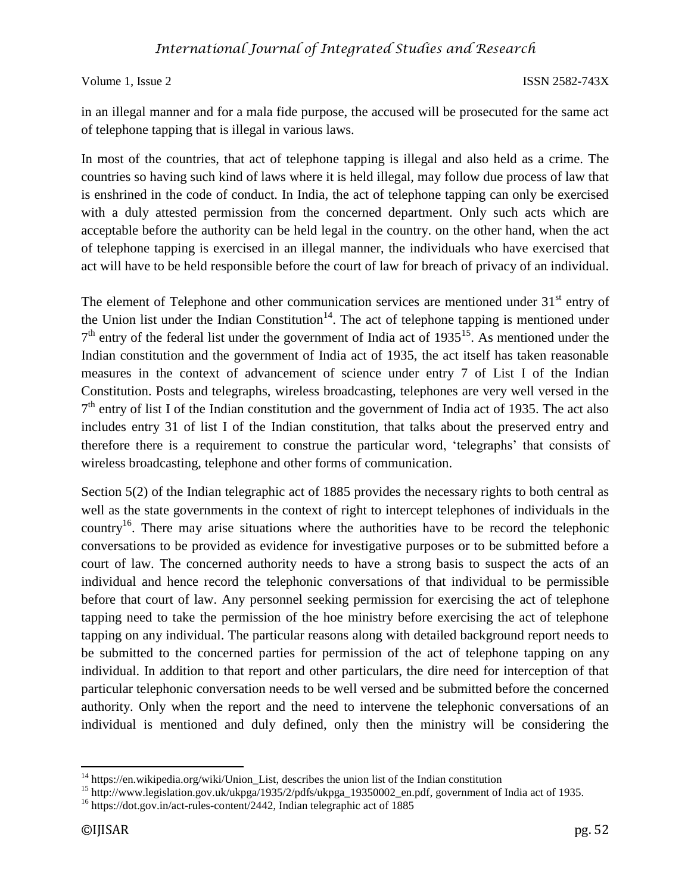in an illegal manner and for a mala fide purpose, the accused will be prosecuted for the same act of telephone tapping that is illegal in various laws.

In most of the countries, that act of telephone tapping is illegal and also held as a crime. The countries so having such kind of laws where it is held illegal, may follow due process of law that is enshrined in the code of conduct. In India, the act of telephone tapping can only be exercised with a duly attested permission from the concerned department. Only such acts which are acceptable before the authority can be held legal in the country. on the other hand, when the act of telephone tapping is exercised in an illegal manner, the individuals who have exercised that act will have to be held responsible before the court of law for breach of privacy of an individual.

The element of Telephone and other communication services are mentioned under  $31<sup>st</sup>$  entry of the Union list under the Indian Constitution<sup>14</sup>. The act of telephone tapping is mentioned under  $7<sup>th</sup>$  entry of the federal list under the government of India act of 1935<sup>15</sup>. As mentioned under the Indian constitution and the government of India act of 1935, the act itself has taken reasonable measures in the context of advancement of science under entry 7 of List I of the Indian Constitution. Posts and telegraphs, wireless broadcasting, telephones are very well versed in the 7<sup>th</sup> entry of list I of the Indian constitution and the government of India act of 1935. The act also includes entry 31 of list I of the Indian constitution, that talks about the preserved entry and therefore there is a requirement to construe the particular word, 'telegraphs' that consists of wireless broadcasting, telephone and other forms of communication.

Section 5(2) of the Indian telegraphic act of 1885 provides the necessary rights to both central as well as the state governments in the context of right to intercept telephones of individuals in the country<sup>16</sup>. There may arise situations where the authorities have to be record the telephonic conversations to be provided as evidence for investigative purposes or to be submitted before a court of law. The concerned authority needs to have a strong basis to suspect the acts of an individual and hence record the telephonic conversations of that individual to be permissible before that court of law. Any personnel seeking permission for exercising the act of telephone tapping need to take the permission of the hoe ministry before exercising the act of telephone tapping on any individual. The particular reasons along with detailed background report needs to be submitted to the concerned parties for permission of the act of telephone tapping on any individual. In addition to that report and other particulars, the dire need for interception of that particular telephonic conversation needs to be well versed and be submitted before the concerned authority. Only when the report and the need to intervene the telephonic conversations of an individual is mentioned and duly defined, only then the ministry will be considering the

 $\overline{\phantom{a}}$ <sup>14</sup> https://en.wikipedia.org/wiki/Union\_List, describes the union list of the Indian constitution

<sup>15</sup> http://www.legislation.gov.uk/ukpga/1935/2/pdfs/ukpga\_19350002\_en.pdf, government of India act of 1935.

<sup>&</sup>lt;sup>16</sup> https://dot.gov.in/act-rules-content/2442, Indian telegraphic act of 1885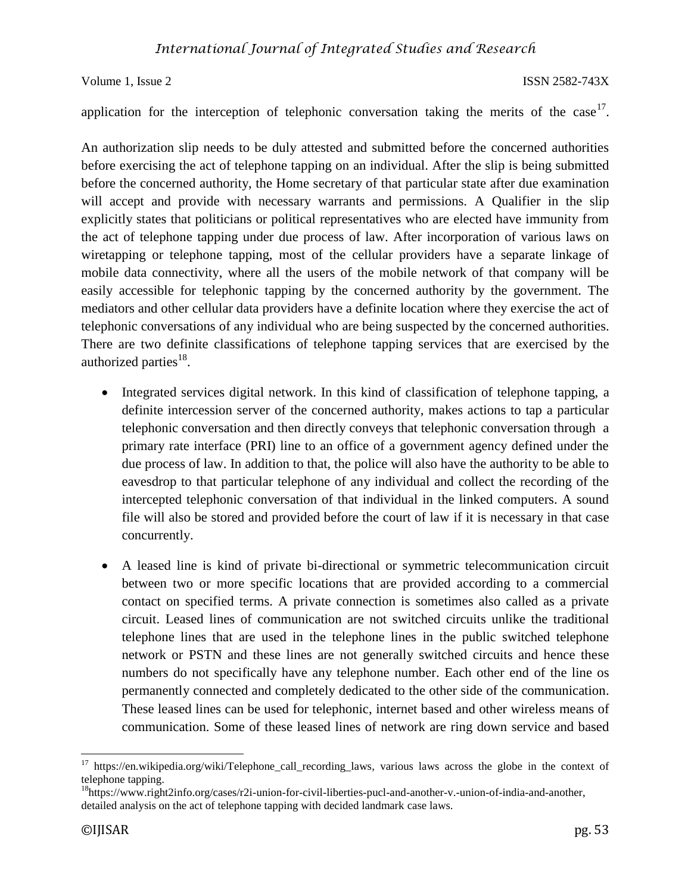application for the interception of telephonic conversation taking the merits of the case<sup>17</sup>.

An authorization slip needs to be duly attested and submitted before the concerned authorities before exercising the act of telephone tapping on an individual. After the slip is being submitted before the concerned authority, the Home secretary of that particular state after due examination will accept and provide with necessary warrants and permissions. A Qualifier in the slip explicitly states that politicians or political representatives who are elected have immunity from the act of telephone tapping under due process of law. After incorporation of various laws on wiretapping or telephone tapping, most of the cellular providers have a separate linkage of mobile data connectivity, where all the users of the mobile network of that company will be easily accessible for telephonic tapping by the concerned authority by the government. The mediators and other cellular data providers have a definite location where they exercise the act of telephonic conversations of any individual who are being suspected by the concerned authorities. There are two definite classifications of telephone tapping services that are exercised by the authorized parties<sup>18</sup>.

- Integrated services digital network. In this kind of classification of telephone tapping, a definite intercession server of the concerned authority, makes actions to tap a particular telephonic conversation and then directly conveys that telephonic conversation through a primary rate interface (PRI) line to an office of a government agency defined under the due process of law. In addition to that, the police will also have the authority to be able to eavesdrop to that particular telephone of any individual and collect the recording of the intercepted telephonic conversation of that individual in the linked computers. A sound file will also be stored and provided before the court of law if it is necessary in that case concurrently.
- A leased line is kind of private bi-directional or symmetric telecommunication circuit between two or more specific locations that are provided according to a commercial contact on specified terms. A private connection is sometimes also called as a private circuit. Leased lines of communication are not switched circuits unlike the traditional telephone lines that are used in the telephone lines in the public switched telephone network or PSTN and these lines are not generally switched circuits and hence these numbers do not specifically have any telephone number. Each other end of the line os permanently connected and completely dedicated to the other side of the communication. These leased lines can be used for telephonic, internet based and other wireless means of communication. Some of these leased lines of network are ring down service and based

 $\overline{\phantom{a}}$ 

<sup>17</sup> https://en.wikipedia.org/wiki/Telephone\_call\_recording\_laws, various laws across the globe in the context of telephone tapping.

<sup>&</sup>lt;sup>18</sup>https://www.right2info.org/cases/r2i-union-for-civil-liberties-pucl-and-another-v.-union-of-india-and-another, detailed analysis on the act of telephone tapping with decided landmark case laws.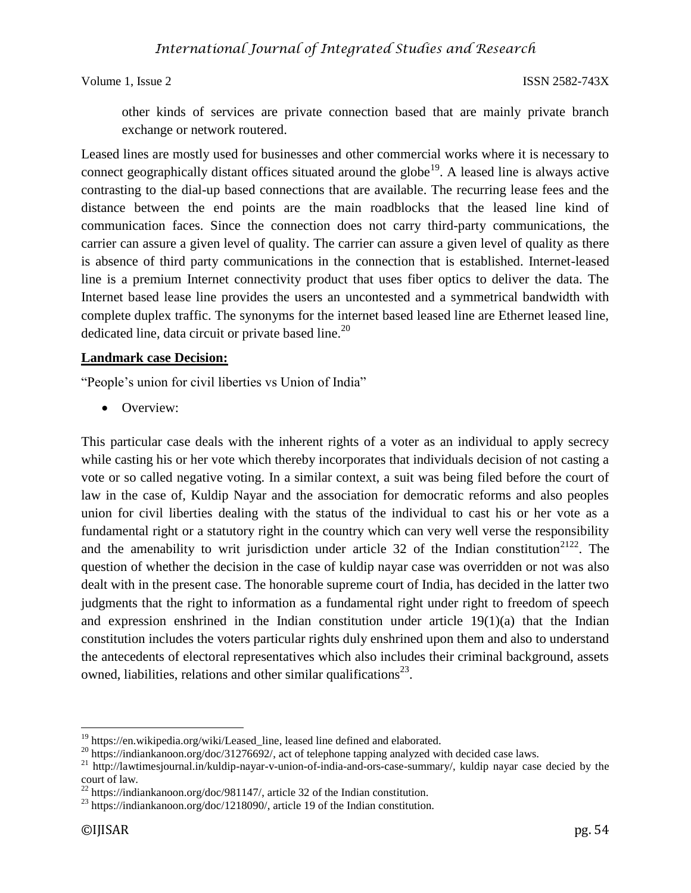other kinds of services are private connection based that are mainly private branch exchange or network routered.

Leased lines are mostly used for businesses and other commercial works where it is necessary to connect geographically distant offices situated around the globe<sup>19</sup>. A leased line is always active contrasting to the dial-up based connections that are available. The recurring lease fees and the distance between the end points are the main roadblocks that the leased line kind of communication faces. Since the connection does not carry third-party communications, the carrier can assure a given level of quality. The carrier can assure a given level of quality as there is absence of third party communications in the connection that is established. Internet-leased line is a premium Internet connectivity product that uses fiber optics to deliver the data. The Internet based lease line provides the users an uncontested and a symmetrical bandwidth with complete duplex traffic. The synonyms for the internet based leased line are Ethernet leased line, dedicated line, data circuit or private based line.<sup>20</sup>

## **Landmark case Decision:**

"People's union for civil liberties vs Union of India"

• Overview:

This particular case deals with the inherent rights of a voter as an individual to apply secrecy while casting his or her vote which thereby incorporates that individuals decision of not casting a vote or so called negative voting. In a similar context, a suit was being filed before the court of law in the case of, Kuldip Nayar and the association for democratic reforms and also peoples union for civil liberties dealing with the status of the individual to cast his or her vote as a fundamental right or a statutory right in the country which can very well verse the responsibility and the amenability to writ jurisdiction under article 32 of the Indian constitution<sup>2122</sup>. The question of whether the decision in the case of kuldip nayar case was overridden or not was also dealt with in the present case. The honorable supreme court of India, has decided in the latter two judgments that the right to information as a fundamental right under right to freedom of speech and expression enshrined in the Indian constitution under article 19(1)(a) that the Indian constitution includes the voters particular rights duly enshrined upon them and also to understand the antecedents of electoral representatives which also includes their criminal background, assets owned, liabilities, relations and other similar qualifications<sup>23</sup>.

l <sup>19</sup> https://en.wikipedia.org/wiki/Leased\_line, leased line defined and elaborated.

<sup>&</sup>lt;sup>20</sup> https://indiankanoon.org/doc/31276692/, act of telephone tapping analyzed with decided case laws.

<sup>21</sup> http://lawtimesjournal.in/kuldip-nayar-v-union-of-india-and-ors-case-summary/, kuldip nayar case decied by the court of law.

<sup>&</sup>lt;sup>22</sup> https://indiankanoon.org/doc/981147/, article 32 of the Indian constitution.

<sup>&</sup>lt;sup>23</sup> https://indiankanoon.org/doc/1218090/, article 19 of the Indian constitution.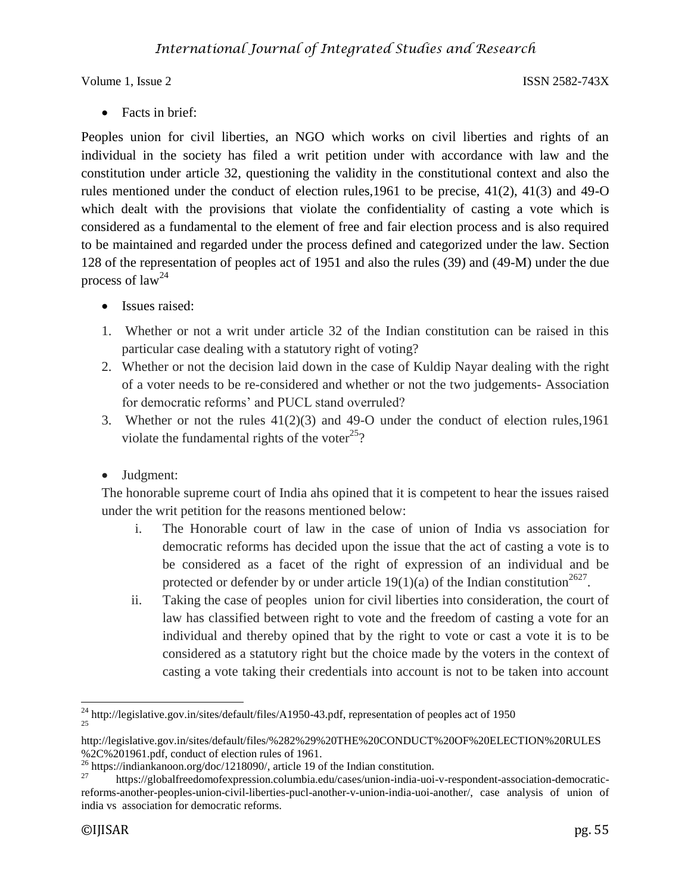• Facts in brief:

Peoples union for civil liberties, an NGO which works on civil liberties and rights of an individual in the society has filed a writ petition under with accordance with law and the constitution under article 32, questioning the validity in the constitutional context and also the rules mentioned under the conduct of election rules,1961 to be precise, 41(2), 41(3) and 49-O which dealt with the provisions that violate the confidentiality of casting a vote which is considered as a fundamental to the element of free and fair election process and is also required to be maintained and regarded under the process defined and categorized under the law. Section 128 of the representation of peoples act of 1951 and also the rules (39) and (49-M) under the due process of  $law<sup>24</sup>$ 

- Issues raised:
- 1. Whether or not a writ under article 32 of the Indian constitution can be raised in this particular case dealing with a statutory right of voting?
- 2. Whether or not the decision laid down in the case of Kuldip Nayar dealing with the right of a voter needs to be re-considered and whether or not the two judgements- Association for democratic reforms' and PUCL stand overruled?
- 3. Whether or not the rules 41(2)(3) and 49-O under the conduct of election rules,1961 violate the fundamental rights of the voter<sup>25</sup>?
- Judgment:

The honorable supreme court of India ahs opined that it is competent to hear the issues raised under the writ petition for the reasons mentioned below:

- i. The Honorable court of law in the case of union of India vs association for democratic reforms has decided upon the issue that the act of casting a vote is to be considered as a facet of the right of expression of an individual and be protected or defender by or under article 19(1)(a) of the Indian constitution<sup>2627</sup>.
- ii. Taking the case of peoples union for civil liberties into consideration, the court of law has classified between right to vote and the freedom of casting a vote for an individual and thereby opined that by the right to vote or cast a vote it is to be considered as a statutory right but the choice made by the voters in the context of casting a vote taking their credentials into account is not to be taken into account

 $\overline{a}$ <sup>24</sup> http://legislative.gov.in/sites/default/files/A1950-43.pdf, representation of peoples act of 1950 25

http://legislative.gov.in/sites/default/files/%282%29%20THE%20CONDUCT%20OF%20ELECTION%20RULES %2C%201961.pdf, conduct of election rules of 1961.

<sup>&</sup>lt;sup>26</sup> https://indiankanoon.org/doc/1218090/, article 19 of the Indian constitution.<br><sup>27</sup> https://globalfreedomofexpression.columbia.edu/cases/union-india-uoi-

<sup>27</sup> https://globalfreedomofexpression.columbia.edu/cases/union-india-uoi-v-respondent-association-democraticreforms-another-peoples-union-civil-liberties-pucl-another-v-union-india-uoi-another/, case analysis of union of india vs association for democratic reforms.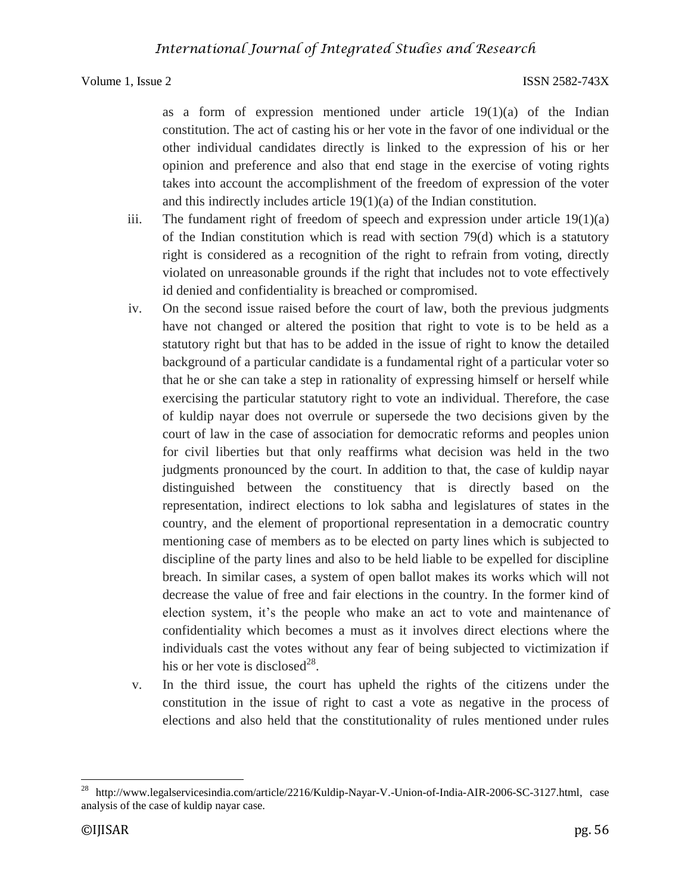as a form of expression mentioned under article  $19(1)(a)$  of the Indian constitution. The act of casting his or her vote in the favor of one individual or the other individual candidates directly is linked to the expression of his or her opinion and preference and also that end stage in the exercise of voting rights takes into account the accomplishment of the freedom of expression of the voter and this indirectly includes article 19(1)(a) of the Indian constitution.

- iii. The fundament right of freedom of speech and expression under article  $19(1)(a)$ of the Indian constitution which is read with section 79(d) which is a statutory right is considered as a recognition of the right to refrain from voting, directly violated on unreasonable grounds if the right that includes not to vote effectively id denied and confidentiality is breached or compromised.
- iv. On the second issue raised before the court of law, both the previous judgments have not changed or altered the position that right to vote is to be held as a statutory right but that has to be added in the issue of right to know the detailed background of a particular candidate is a fundamental right of a particular voter so that he or she can take a step in rationality of expressing himself or herself while exercising the particular statutory right to vote an individual. Therefore, the case of kuldip nayar does not overrule or supersede the two decisions given by the court of law in the case of association for democratic reforms and peoples union for civil liberties but that only reaffirms what decision was held in the two judgments pronounced by the court. In addition to that, the case of kuldip nayar distinguished between the constituency that is directly based on the representation, indirect elections to lok sabha and legislatures of states in the country, and the element of proportional representation in a democratic country mentioning case of members as to be elected on party lines which is subjected to discipline of the party lines and also to be held liable to be expelled for discipline breach. In similar cases, a system of open ballot makes its works which will not decrease the value of free and fair elections in the country. In the former kind of election system, it's the people who make an act to vote and maintenance of confidentiality which becomes a must as it involves direct elections where the individuals cast the votes without any fear of being subjected to victimization if his or her vote is disclosed $^{28}$ .
- v. In the third issue, the court has upheld the rights of the citizens under the constitution in the issue of right to cast a vote as negative in the process of elections and also held that the constitutionality of rules mentioned under rules

 $28\,$ <sup>28</sup> http://www.legalservicesindia.com/article/2216/Kuldip-Nayar-V.-Union-of-India-AIR-2006-SC-3127.html, case analysis of the case of kuldip nayar case.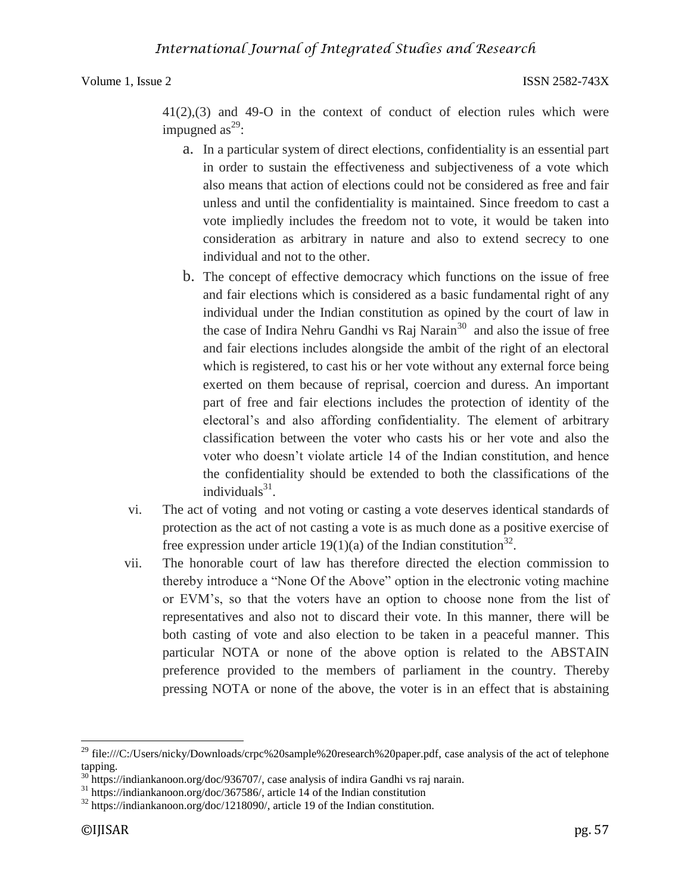41(2),(3) and 49-O in the context of conduct of election rules which were impugned as<sup>29</sup>:

- a. In a particular system of direct elections, confidentiality is an essential part in order to sustain the effectiveness and subjectiveness of a vote which also means that action of elections could not be considered as free and fair unless and until the confidentiality is maintained. Since freedom to cast a vote impliedly includes the freedom not to vote, it would be taken into consideration as arbitrary in nature and also to extend secrecy to one individual and not to the other.
- b. The concept of effective democracy which functions on the issue of free and fair elections which is considered as a basic fundamental right of any individual under the Indian constitution as opined by the court of law in the case of Indira Nehru Gandhi vs Raj Narain<sup>30</sup> and also the issue of free and fair elections includes alongside the ambit of the right of an electoral which is registered, to cast his or her vote without any external force being exerted on them because of reprisal, coercion and duress. An important part of free and fair elections includes the protection of identity of the electoral's and also affording confidentiality. The element of arbitrary classification between the voter who casts his or her vote and also the voter who doesn't violate article 14 of the Indian constitution, and hence the confidentiality should be extended to both the classifications of the individuals $31$ .
- vi. The act of voting and not voting or casting a vote deserves identical standards of protection as the act of not casting a vote is as much done as a positive exercise of free expression under article 19(1)(a) of the Indian constitution<sup>32</sup>.
- vii. The honorable court of law has therefore directed the election commission to thereby introduce a "None Of the Above" option in the electronic voting machine or EVM's, so that the voters have an option to choose none from the list of representatives and also not to discard their vote. In this manner, there will be both casting of vote and also election to be taken in a peaceful manner. This particular NOTA or none of the above option is related to the ABSTAIN preference provided to the members of parliament in the country. Thereby pressing NOTA or none of the above, the voter is in an effect that is abstaining

 $\overline{a}$ 

<sup>&</sup>lt;sup>29</sup> file:///C:/Users/nicky/Downloads/crpc%20sample%20research%20paper.pdf, case analysis of the act of telephone tapping.

<sup>&</sup>lt;sup>30</sup> https://indiankanoon.org/doc/936707/, case analysis of indira Gandhi vs raj narain.

<sup>31</sup> https://indiankanoon.org/doc/367586/, article 14 of the Indian constitution

<sup>&</sup>lt;sup>32</sup> https://indiankanoon.org/doc/1218090/, article 19 of the Indian constitution.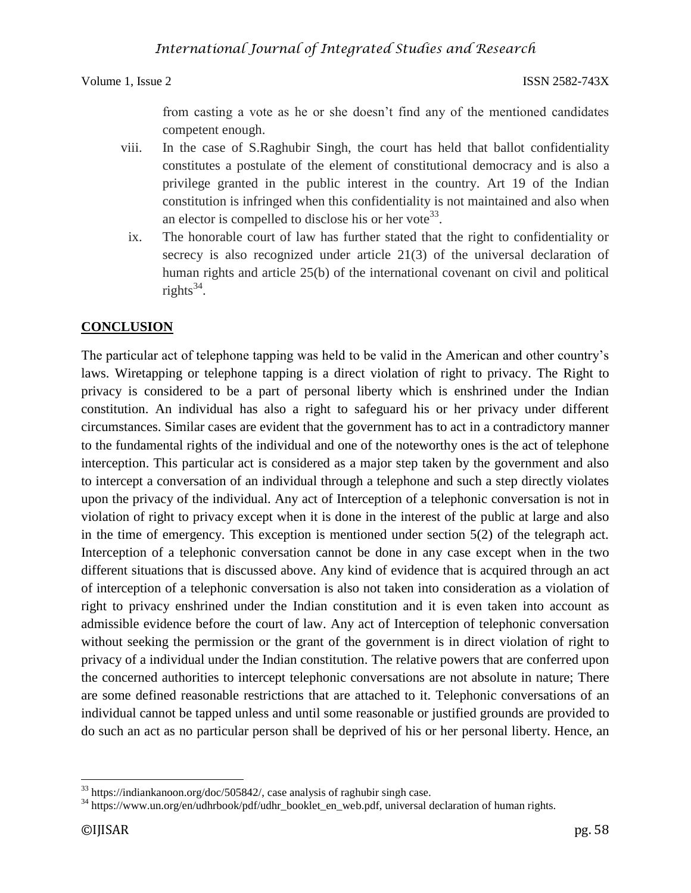from casting a vote as he or she doesn't find any of the mentioned candidates competent enough.

- viii. In the case of S.Raghubir Singh, the court has held that ballot confidentiality constitutes a postulate of the element of constitutional democracy and is also a privilege granted in the public interest in the country. Art 19 of the Indian constitution is infringed when this confidentiality is not maintained and also when an elector is compelled to disclose his or her vote<sup>33</sup>.
- ix. The honorable court of law has further stated that the right to confidentiality or secrecy is also recognized under article 21(3) of the universal declaration of human rights and article 25(b) of the international covenant on civil and political rights $^{34}$ .

## **CONCLUSION**

The particular act of telephone tapping was held to be valid in the American and other country's laws. Wiretapping or telephone tapping is a direct violation of right to privacy. The Right to privacy is considered to be a part of personal liberty which is enshrined under the Indian constitution. An individual has also a right to safeguard his or her privacy under different circumstances. Similar cases are evident that the government has to act in a contradictory manner to the fundamental rights of the individual and one of the noteworthy ones is the act of telephone interception. This particular act is considered as a major step taken by the government and also to intercept a conversation of an individual through a telephone and such a step directly violates upon the privacy of the individual. Any act of Interception of a telephonic conversation is not in violation of right to privacy except when it is done in the interest of the public at large and also in the time of emergency. This exception is mentioned under section 5(2) of the telegraph act. Interception of a telephonic conversation cannot be done in any case except when in the two different situations that is discussed above. Any kind of evidence that is acquired through an act of interception of a telephonic conversation is also not taken into consideration as a violation of right to privacy enshrined under the Indian constitution and it is even taken into account as admissible evidence before the court of law. Any act of Interception of telephonic conversation without seeking the permission or the grant of the government is in direct violation of right to privacy of a individual under the Indian constitution. The relative powers that are conferred upon the concerned authorities to intercept telephonic conversations are not absolute in nature; There are some defined reasonable restrictions that are attached to it. Telephonic conversations of an individual cannot be tapped unless and until some reasonable or justified grounds are provided to do such an act as no particular person shall be deprived of his or her personal liberty. Hence, an

 $\overline{\phantom{a}}$  $33$  https://indiankanoon.org/doc/505842/, case analysis of raghubir singh case.

<sup>&</sup>lt;sup>34</sup> https://www.un.org/en/udhrbook/pdf/udhr\_booklet\_en\_web.pdf, universal declaration of human rights.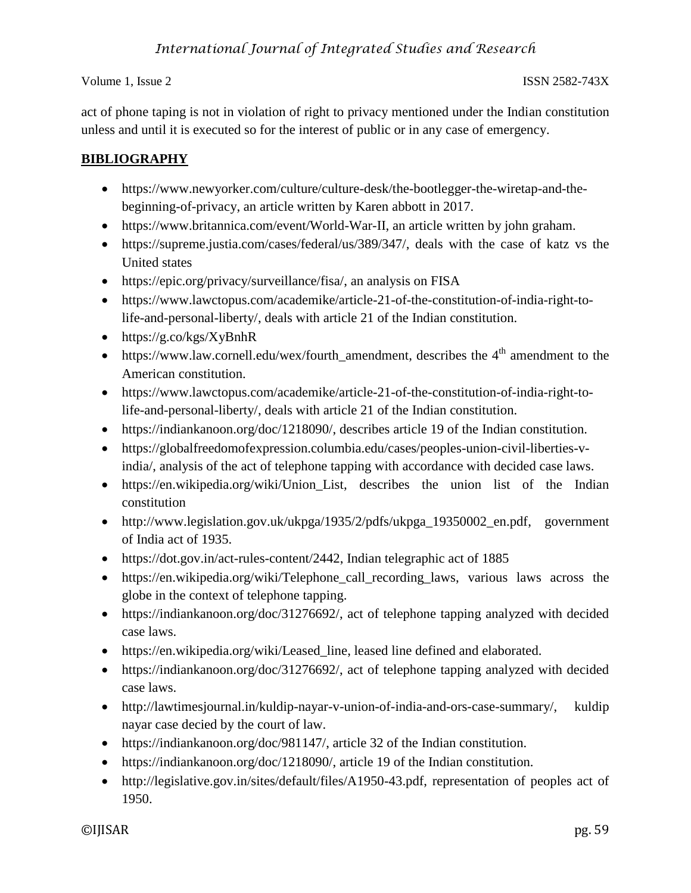act of phone taping is not in violation of right to privacy mentioned under the Indian constitution unless and until it is executed so for the interest of public or in any case of emergency.

## **BIBLIOGRAPHY**

- https://www.newyorker.com/culture/culture-desk/the-bootlegger-the-wiretap-and-thebeginning-of-privacy, an article written by Karen abbott in 2017.
- https://www.britannica.com/event/World-War-II, an article written by john graham.
- https://supreme.justia.com/cases/federal/us/389/347/, deals with the case of katz vs the United states
- https://epic.org/privacy/surveillance/fisa/, an analysis on FISA
- https://www.lawctopus.com/academike/article-21-of-the-constitution-of-india-right-tolife-and-personal-liberty/, deals with article 21 of the Indian constitution.
- https://g.co/kgs/XyBnhR
- $\bullet$  https://www.law.cornell.edu/wex/fourth\_amendment, describes the  $4<sup>th</sup>$  amendment to the American constitution.
- https://www.lawctopus.com/academike/article-21-of-the-constitution-of-india-right-tolife-and-personal-liberty/, deals with article 21 of the Indian constitution.
- https://indiankanoon.org/doc/1218090/, describes article 19 of the Indian constitution.
- https://globalfreedomofexpression.columbia.edu/cases/peoples-union-civil-liberties-vindia/, analysis of the act of telephone tapping with accordance with decided case laws.
- [https://en.wikipedia.org/wiki/Union\\_List,](https://en.wikipedia.org/wiki/Union_List) describes the union list of the Indian constitution
- [http://www.legislation.gov.uk/ukpga/1935/2/pdfs/ukpga\\_19350002\\_en.pdf,](http://www.legislation.gov.uk/ukpga/1935/2/pdfs/ukpga_19350002_en.pdf) government of India act of 1935.
- [https://dot.gov.in/act-rules-content/2442,](https://dot.gov.in/act-rules-content/2442) Indian telegraphic act of 1885
- https://en.wikipedia.org/wiki/Telephone call recording laws, various laws across the globe in the context of telephone tapping.
- [https://indiankanoon.org/doc/31276692/,](https://indiankanoon.org/doc/31276692/) act of telephone tapping analyzed with decided case laws.
- [https://en.wikipedia.org/wiki/Leased\\_line,](https://en.wikipedia.org/wiki/Leased_line) leased line defined and elaborated.
- [https://indiankanoon.org/doc/31276692/,](https://indiankanoon.org/doc/31276692/) act of telephone tapping analyzed with decided case laws.
- [http://lawtimesjournal.in/kuldip-nayar-v-union-of-india-and-ors-case-summary/,](http://lawtimesjournal.in/kuldip-nayar-v-union-of-india-and-ors-case-summary/) kuldip nayar case decied by the court of law.
- [https://indiankanoon.org/doc/981147/,](https://indiankanoon.org/doc/981147/) article 32 of the Indian constitution.
- [https://indiankanoon.org/doc/1218090/,](https://indiankanoon.org/doc/1218090/) article 19 of the Indian constitution.
- [http://legislative.gov.in/sites/default/files/A1950-43.pdf,](http://legislative.gov.in/sites/default/files/A1950-43.pdf) representation of peoples act of 1950.